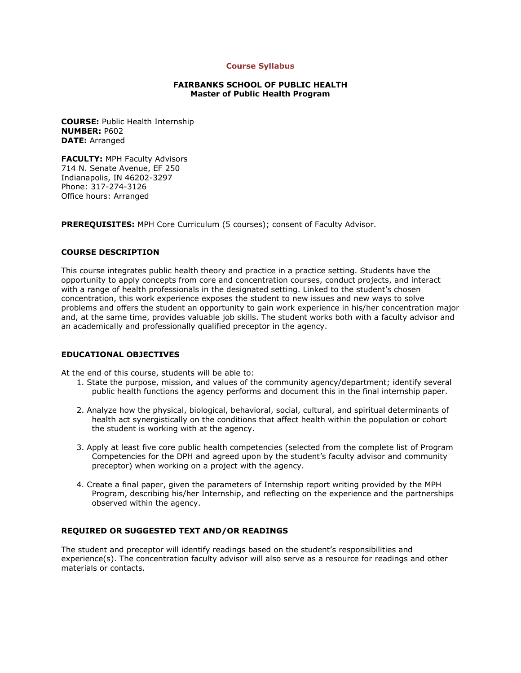#### **Course Syllabus**

### **FAIRBANKS SCHOOL OF PUBLIC HEALTH Master of Public Health Program**

**COURSE:** Public Health Internship **NUMBER:** P602 **DATE:** Arranged

**FACULTY: MPH Faculty Advisors** 714 N. Senate Avenue, EF 250 Indianapolis, IN 46202-3297 Phone: 317-274-3126 Office hours: Arranged

**PREREQUISITES:** MPH Core Curriculum (5 courses); consent of Faculty Advisor.

# **COURSE DESCRIPTION**

This course integrates public health theory and practice in a practice setting. Students have the opportunity to apply concepts from core and concentration courses, conduct projects, and interact with a range of health professionals in the designated setting. Linked to the student's chosen concentration, this work experience exposes the student to new issues and new ways to solve problems and offers the student an opportunity to gain work experience in his/her concentration major and, at the same time, provides valuable job skills. The student works both with a faculty advisor and an academically and professionally qualified preceptor in the agency.

#### **EDUCATIONAL OBJECTIVES**

At the end of this course, students will be able to:

- 1. State the purpose, mission, and values of the community agency/department; identify several public health functions the agency performs and document this in the final internship paper.
- 2. Analyze how the physical, biological, behavioral, social, cultural, and spiritual determinants of health act synergistically on the conditions that affect health within the population or cohort the student is working with at the agency.
- 3. Apply at least five core public health competencies (selected from the complete list of Program Competencies for the DPH and agreed upon by the student's faculty advisor and community preceptor) when working on a project with the agency.
- 4. Create a final paper, given the parameters of Internship report writing provided by the MPH Program, describing his/her Internship, and reflecting on the experience and the partnerships observed within the agency.

# **REQUIRED OR SUGGESTED TEXT AND/OR READINGS**

The student and preceptor will identify readings based on the student's responsibilities and experience(s). The concentration faculty advisor will also serve as a resource for readings and other materials or contacts.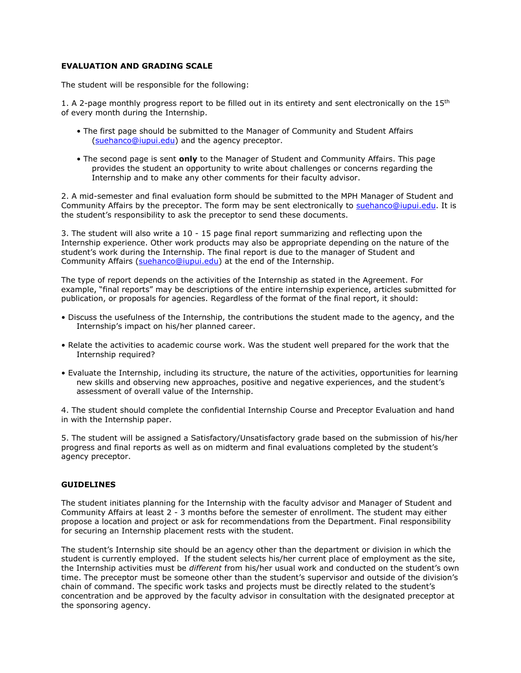## **EVALUATION AND GRADING SCALE**

The student will be responsible for the following:

1. A 2-page monthly progress report to be filled out in its entirety and sent electronically on the  $15<sup>th</sup>$ of every month during the Internship.

- The first page should be submitted to the Manager of Community and Student Affairs [\(suehanco@iupui.edu\)](mailto:suehanco@iupui.edu) and the agency preceptor.
- The second page is sent **only** to the Manager of Student and Community Affairs. This page provides the student an opportunity to write about challenges or concerns regarding the Internship and to make any other comments for their faculty advisor.

2. A mid-semester and final evaluation form should be submitted to the MPH Manager of Student and Community Affairs by the preceptor. The form may be sent electronically to [suehanco@iupui.edu.](mailto:suehanco@iupui.edu) It is the student's responsibility to ask the preceptor to send these documents.

3. The student will also write a 10 - 15 page final report summarizing and reflecting upon the Internship experience. Other work products may also be appropriate depending on the nature of the student's work during the Internship. The final report is due to the manager of Student and Community Affairs [\(suehanco@iupui.edu\)](mailto:suehanco@iupui.edu) at the end of the Internship.

The type of report depends on the activities of the Internship as stated in the Agreement. For example, "final reports" may be descriptions of the entire internship experience, articles submitted for publication, or proposals for agencies. Regardless of the format of the final report, it should:

- Discuss the usefulness of the Internship, the contributions the student made to the agency, and the Internship's impact on his/her planned career.
- Relate the activities to academic course work. Was the student well prepared for the work that the Internship required?
- Evaluate the Internship, including its structure, the nature of the activities, opportunities for learning new skills and observing new approaches, positive and negative experiences, and the student's assessment of overall value of the Internship.

4. The student should complete the confidential Internship Course and Preceptor Evaluation and hand in with the Internship paper.

5. The student will be assigned a Satisfactory/Unsatisfactory grade based on the submission of his/her progress and final reports as well as on midterm and final evaluations completed by the student's agency preceptor.

#### **GUIDELINES**

The student initiates planning for the Internship with the faculty advisor and Manager of Student and Community Affairs at least 2 - 3 months before the semester of enrollment. The student may either propose a location and project or ask for recommendations from the Department. Final responsibility for securing an Internship placement rests with the student.

The student's Internship site should be an agency other than the department or division in which the student is currently employed. If the student selects his/her current place of employment as the site, the Internship activities must be *different* from his/her usual work and conducted on the student's own time. The preceptor must be someone other than the student's supervisor and outside of the division's chain of command. The specific work tasks and projects must be directly related to the student's concentration and be approved by the faculty advisor in consultation with the designated preceptor at the sponsoring agency.